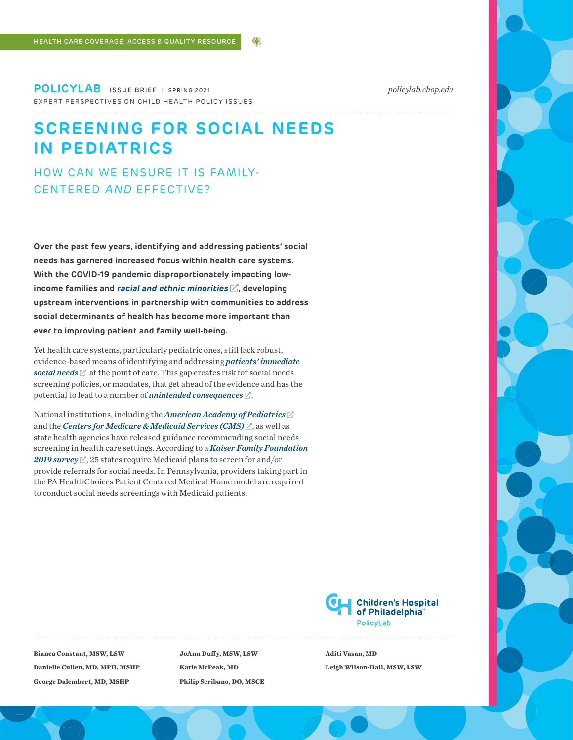**POLICYLAB** ISSUE BRIEF | SPRING 2021 *[policylab.chop.edu](http://policylab.chop.edu)* EXPERT PERSPECTIVES ON CHILD HEALTH POLICY ISSUES

# **SCREENING FOR SOCIAL NEEDS IN PEDIATRICS**

HOW CAN WE ENSURE IT IS FAMILY-CENTERED AND EFFECTIVE?

**Over the past few years, identifying and addressing patients' social needs has garnered increased focus within health care systems. With the COVID-19 pandemic disproportionately impacting low**income families and *[racial and ethnic minorities](https://www.cdc.gov/coronavirus/2019-ncov/community/health-equity/race-ethnicity.html)*  $\mathbb{Z}_1$ , developing **upstream interventions in partnership with communities to address social determinants of health has become more important than ever to improving patient and family well-being.** 

Yet health care systems, particularly pediatric ones, still lack robust, evidence-based means of identifying and addressing *[patients' immediate](https://www.healthaffairs.org/do/10.1377/hblog20191025.776011/full/)  [social needs](https://www.healthaffairs.org/do/10.1377/hblog20191025.776011/full/)*  $\mathbb Z^*$  at the point of care. This gap creates risk for social needs screening policies, or mandates, that get ahead of the evidence and has the potential to lead to a number of *[unintended consequences](https://jamanetwork.com/journals/jama/article-abstract/2531579)* .

National institutions, including the *[American Academy of Pediatrics](https://www.aap.org/en-us/advocacy-and-policy/aap-health-initiatives/poverty/Pages/home.aspx)* and the *[Centers for Medicare & Medicaid Services \(CMS\)](https://innovation.cms.gov/initiatives/ahcm/)*  $\boxtimes$ , as well as state health agencies have released guidance recommending social needs screening in health care settings. According to a *[Kaiser Family Foundation](https://www.kff.org/other/state-indicator/states-reporting-social-determinant-of-health-related-policies-required-in-medicaid-managed-care-contracts/?currentTimeframe=0&sortModel=%7B%22colId%22:%22Location%22,%22sort%22:%22asc%22%7D)*  [2019 survey](https://www.kff.org/other/state-indicator/states-reporting-social-determinant-of-health-related-policies-required-in-medicaid-managed-care-contracts/?currentTimeframe=0&sortModel=%7B%22colId%22:%22Location%22,%22sort%22:%22asc%22%7D)  $\mathbb{Z}$ , 25 states require Medicaid plans to screen for and/or provide referrals for social needs. In Pennsylvania, providers taking part in the PA HealthChoices Patient Centered Medical Home model are required to conduct social needs screenings with Medicaid patients.

> **Children's Hospital** of Philadelphia<sup>®</sup> Policyl ab

**Bianca Constant, MSW, LSW Danielle Cullen, MD, MPH, MSHP George Dalembert, MD, MSHP**

**JoAnn Duffy, MSW, LSW Katie McPeak, MD Philip Scribano, DO, MSCE** **Aditi Vasan, MD Leigh Wilson-Hall, MSW, LSW**

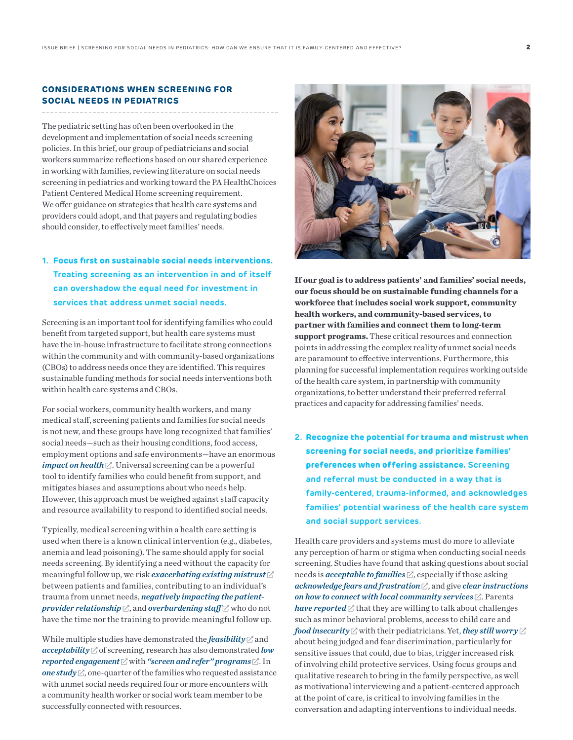# **CONSIDERATIONS WHEN SCREENING FOR SOCIAL NEEDS IN PEDIATRICS**

The pediatric setting has often been overlooked in the development and implementation of social needs screening policies. In this brief, our group of pediatricians and social workers summarize reflections based on our shared experience in working with families, reviewing literature on social needs screening in pediatrics and working toward the PA HealthChoices Patient Centered Medical Home screening requirement. We offer guidance on strategies that health care systems and providers could adopt, and that payers and regulating bodies should consider, to effectively meet families' needs.

# **1. Focus first on sustainable social needs interventions. Treating screening as an intervention in and of itself can overshadow the equal need for investment in services that address unmet social needs.**

Screening is an important tool for identifying families who could benefit from targeted support, but health care systems must have the in-house infrastructure to facilitate strong connections within the community and with community-based organizations (CBOs) to address needs once they are identified. This requires sustainable funding methods for social needs interventions both within health care systems and CBOs.

For social workers, community health workers, and many medical staff, screening patients and families for social needs is not new, and these groups have long recognized that families' social needs—such as their housing conditions, food access, employment options and safe environments—have an enormous  $$ tool to identify families who could benefit from support, and mitigates biases and assumptions about who needs help. However, this approach must be weighed against staff capacity and resource availability to respond to identified social needs.

Typically, medical screening within a health care setting is used when there is a known clinical intervention (e.g., diabetes, anemia and lead poisoning). The same should apply for social needs screening. By identifying a need without the capacity for meaningful follow up, we risk *[exacerbating existing mistrust](https://www.publicagenda.org/reports/its-about-trust-low-income-parents-perspectives-on-how-pediatricians-can-screen-for-social-determinants-of-health/)* between patients and families, contributing to an individual's trauma from unmet needs, *[negatively impacting the patient](https://jamanetwork.com/journals/jama/article-abstract/2531579)[provider relationship](https://jamanetwork.com/journals/jama/article-abstract/2531579)*  $\mathbb Z$ , and *[overburdening staff](https://www.inquirer.com/health/doctors-social-determinants-of-health-responsibility-food-housing-employment-20190701.html)*  $\mathbb Z$  who do not have the time nor the training to provide meaningful follow up.

While multiple studies have demonstrated the *[feasibility](https://pubmed.ncbi.nlm.nih.gov/22387923/)*  $\Box$  and *[acceptability](https://pediatrics.aappublications.org/content/140/1/e20170320)* of screening, research has also demonstrated *[low](https://jamanetwork.com/journals/jamanetworkopen/fullarticle/2762502)  [reported engagement](https://jamanetwork.com/journals/jamanetworkopen/fullarticle/2762502)* with *["screen and refer" programs](https://ajph.aphapublications.org/doi/abs/10.2105/AJPH.2018.304905?af=R&)* . In  $one study  $\angle$  $one study  $\angle$ , one-quarter of the families who requested assistance$$ with unmet social needs required four or more encounters with a community health worker or social work team member to be successfully connected with resources.



**If our goal is to address patients' and families' social needs, our focus should be on sustainable funding channels for a workforce that includes social work support, community health workers, and community-based services, to partner with families and connect them to long-term support programs.** These critical resources and connection points in addressing the complex reality of unmet social needs are paramount to effective interventions. Furthermore, this planning for successful implementation requires working outside of the health care system, in partnership with community organizations, to better understand their preferred referral practices and capacity for addressing families' needs.

**2. Recognize the potential for trauma and mistrust when screening for social needs, and prioritize families' preferences when offering assistance. Screening and referral must be conducted in a way that is family-centered, trauma-informed, and acknowledges families' potential wariness of the health care system and social support services.** 

Health care providers and systems must do more to alleviate any perception of harm or stigma when conducting social needs screening. Studies have found that asking questions about social needs is *[acceptable to families](https://www.sciencedirect.com/science/article/pii/S0749379719303186)*  $\mathbb{Z}$ , especially if those asking *[acknowledge fears and frustration](https://pediatrics.aappublications.org/content/140/1/e20170320)* , and give *[clear instructions](https://www.academicpedsjnl.net/article/S1876-2859(20)30170-4/abstract)  [on how to connect with local community services](https://www.academicpedsjnl.net/article/S1876-2859(20)30170-4/abstract)* . Parents *[have reported](https://www.publicagenda.org/reports/its-about-trust-low-income-parents-perspectives-on-how-pediatricians-can-screen-for-social-determinants-of-health/)*  $\triangledown$  that they are willing to talk about challenges such as minor behavioral problems, access to child care and *[food insecurity](https://pediatrics.aappublications.org/content/140/1/e20170320)* with their pediatricians. Yet, *[they still worry](https://www.publicagenda.org/reports/its-about-trust-low-income-parents-perspectives-on-how-pediatricians-can-screen-for-social-determinants-of-health/)* about being judged and fear discrimination, particularly for sensitive issues that could, due to bias, trigger increased risk of involving child protective services. Using focus groups and qualitative research to bring in the family perspective, as well as motivational interviewing and a patient-centered approach at the point of care, is critical to involving families in the conversation and adapting interventions to individual needs.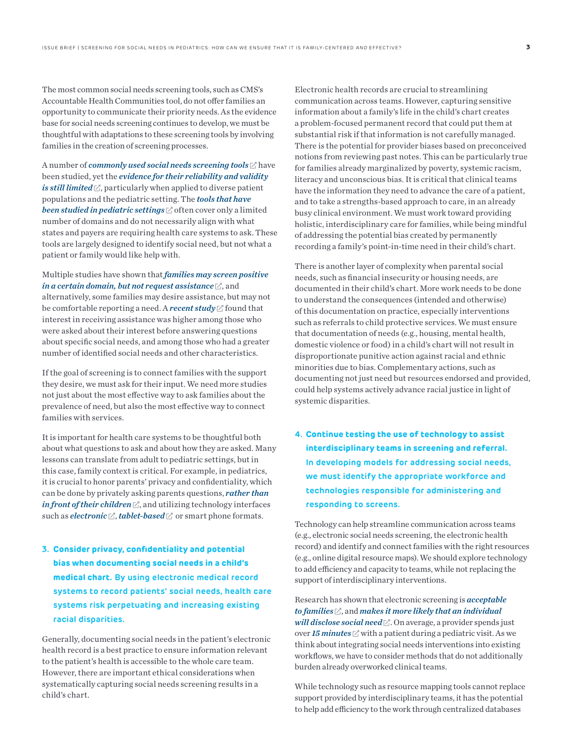The most common social needs screening tools, such as CMS's Accountable Health Communities tool, do not offer families an opportunity to communicate their priority needs. As the evidence base for social needs screening continues to develop, we must be thoughtful with adaptations to these screening tools by involving families in the creation of screening processes.

A number of *[commonly used social needs screening tools](https://sirenetwork.ucsf.edu/SocialNeedsScreeningToolComparisonTable)*  $\mathbb Z$  have been studied, yet the *[evidence for their reliability and validity](https://sirenetwork.ucsf.edu/tools-resources/resources/psychometric-and-pragmatic-properties-social-risk-screening-tools)  [is still l](https://sirenetwork.ucsf.edu/tools-resources/resources/psychometric-and-pragmatic-properties-social-risk-screening-tools)imited*  $\mathbb{Z}$ , particularly when applied to diverse patient populations and the pediatric setting. The *[tools that have](https://sirenetwork.ucsf.edu/tools-resources/mmi/screening-tools-comparison/peds)  [been studied in pediatric settings](https://sirenetwork.ucsf.edu/tools-resources/mmi/screening-tools-comparison/peds)*  $\mathbb Z$  often cover only a limited number of domains and do not necessarily align with what states and payers are requiring health care systems to ask. These tools are largely designed to identify social need, but not what a patient or family would like help with.

Multiple studies have shown that *[families may screen positive](https://doi.org/10.1016/j.acap.2020.08.005)*  [in a certain domain, but not request assistance](https://doi.org/10.1016/j.acap.2020.08.005)  $\mathbb Z$ , and alternatively, some families may desire assistance, but may not be comfortable reporting a need. A *[recent study](https://jamanetwork.com/journals/jamanetworkopen/fullarticle/2771851?utm_campaign=articlePDF&utm_medium=articlePDFlink&utm_source=articlePDF&utm_content=jamanetworkopen.2020.21201)*  $\mathbb{Z}^*$  found that interest in receiving assistance was higher among those who were asked about their interest before answering questions about specific social needs, and among those who had a greater number of identified social needs and other characteristics.

If the goal of screening is to connect families with the support they desire, we must ask for their input. We need more studies not just about the most effective way to ask families about the prevalence of need, but also the most effective way to connect families with services.

It is important for health care systems to be thoughtful both about what questions to ask and about how they are asked. Many lessons can translate from adult to pediatric settings, but in this case, family context is critical. For example, in pediatrics, it is crucial to honor parents' privacy and confidentiality, which can be done by privately asking parents questions, *[rather than](https://www.publicagenda.org/reports/its-about-trust-low-income-parents-perspectives-on-how-pediatricians-can-screen-for-social-determinants-of-health/)*  [in front of their children](https://www.publicagenda.org/reports/its-about-trust-low-income-parents-perspectives-on-how-pediatricians-can-screen-for-social-determinants-of-health/)  $\mathbb Z$ , and utilizing technology interfaces such as *[electronic](https://pubmed.ncbi.nlm.nih.gov/25367545/)*  $\mathbb{Z}$ , *tablet-based*  $\mathbb{Z}$  or smart phone formats.

**3. Consider privacy, confidentiality and potential bias when documenting social needs in a child's medical chart. By using electronic medical record systems to record patients' social needs, health care systems risk perpetuating and increasing existing racial disparities.**

Generally, documenting social needs in the patient's electronic health record is a best practice to ensure information relevant to the patient's health is accessible to the whole care team. However, there are important ethical considerations when systematically capturing social needs screening results in a child's chart.

Electronic health records are crucial to streamlining communication across teams. However, capturing sensitive information about a family's life in the child's chart creates a problem-focused permanent record that could put them at substantial risk if that information is not carefully managed. There is the potential for provider biases based on preconceived notions from reviewing past notes. This can be particularly true for families already marginalized by poverty, systemic racism, literacy and unconscious bias. It is critical that clinical teams have the information they need to advance the care of a patient, and to take a strengths-based approach to care, in an already busy clinical environment. We must work toward providing holistic, interdisciplinary care for families, while being mindful of addressing the potential bias created by permanently recording a family's point-in-time need in their child's chart.

There is another layer of complexity when parental social needs, such as financial insecurity or housing needs, are documented in their child's chart. More work needs to be done to understand the consequences (intended and otherwise) of this documentation on practice, especially interventions such as referrals to child protective services. We must ensure that documentation of needs (e.g., housing, mental health, domestic violence or food) in a child's chart will not result in disproportionate punitive action against racial and ethnic minorities due to bias. Complementary actions, such as documenting not just need but resources endorsed and provided, could help systems actively advance racial justice in light of systemic disparities.

**4. Continue testing the use of technology to assist interdisciplinary teams in screening and referral. In developing models for addressing social needs, we must identify the appropriate workforce and technologies responsible for administering and responding to screens.** 

Technology can help streamline communication across teams (e.g., electronic social needs screening, the electronic health record) and identify and connect families with the right resources (e.g., online digital resource maps). We should explore technology to add efficiency and capacity to teams, while not replacing the support of interdisciplinary interventions.

Research has shown that electronic screening is *[acceptable](https://policylab.chop.edu/blog/hungry-information-lessons-learned-food-insecurity-screening-pediatrics)  [to families](https://policylab.chop.edu/blog/hungry-information-lessons-learned-food-insecurity-screening-pediatrics)* , and *[makes it more likely that an individual](https://pubmed.ncbi.nlm.nih.gov/30639763/)*  will *disclose social need*  $\angle$ . On average, a provider spends just over **[15 minutes](https://www.aap.org/en-us/professional-resources/Research/Pages/Length-of-Pediatric-Visits-Actually-Increasing.aspx)**  $\mathbb{Z}$  with a patient during a pediatric visit. As we think about integrating social needs interventions into existing workflows, we have to consider methods that do not additionally burden already overworked clinical teams.

While technology such as resource mapping tools cannot replace support provided by interdisciplinary teams, it has the potential to help add efficiency to the work through centralized databases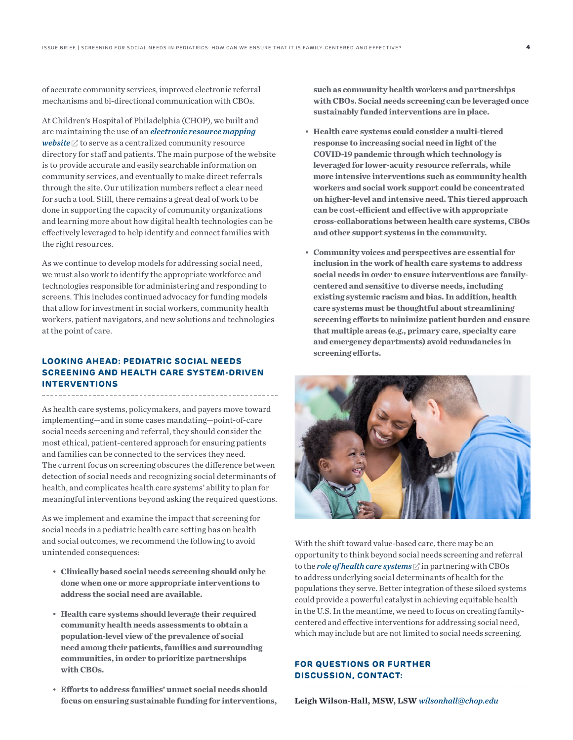of accurate community services, improved electronic referral mechanisms and bi-directional communication with CBOs.

At Children's Hospital of Philadelphia (CHOP), we built and are maintaining the use of an *[electronic resource mapping](http://www.communityresourceconnects.org/)*  [website](http://www.communityresourceconnects.org/)  $\mathbb Z$  to serve as a centralized community resource directory for staff and patients. The main purpose of the website is to provide accurate and easily searchable information on community services, and eventually to make direct referrals through the site. Our utilization numbers reflect a clear need for such a tool. Still, there remains a great deal of work to be done in supporting the capacity of community organizations and learning more about how digital health technologies can be effectively leveraged to help identify and connect families with the right resources.

As we continue to develop models for addressing social need, we must also work to identify the appropriate workforce and technologies responsible for administering and responding to screens. This includes continued advocacy for funding models that allow for investment in social workers, community health workers, patient navigators, and new solutions and technologies at the point of care.

# **LOOKING AHEAD: PEDIATRIC SOCIAL NEEDS SCREENING AND HEALTH CARE SYSTEM-DRIVEN INTERVENTIONS**

As health care systems, policymakers, and payers move toward implementing—and in some cases mandating—point-of-care social needs screening and referral, they should consider the most ethical, patient-centered approach for ensuring patients and families can be connected to the services they need. The current focus on screening obscures the difference between detection of social needs and recognizing social determinants of health, and complicates health care systems' ability to plan for meaningful interventions beyond asking the required questions.

As we implement and examine the impact that screening for social needs in a pediatric health care setting has on health and social outcomes, we recommend the following to avoid unintended consequences:

- **Clinically based social needs screening should only be done when one or more appropriate interventions to address the social need are available.**
- **Health care systems should leverage their required community health needs assessments to obtain a population-level view of the prevalence of social need among their patients, families and surrounding communities, in order to prioritize partnerships with CBOs.**
- **Efforts to address families' unmet social needs should focus on ensuring sustainable funding for interventions,**

**such as community health workers and partnerships with CBOs. Social needs screening can be leveraged once sustainably funded interventions are in place.** 

- **Health care systems could consider a multi-tiered response to increasing social need in light of the COVID-19 pandemic through which technology is leveraged for lower-acuity resource referrals, while more intensive interventions such as community health workers and social work support could be concentrated on higher-level and intensive need. This tiered approach can be cost-efficient and effective with appropriate cross-collaborations between health care systems, CBOs and other support systems in the community.**
- **Community voices and perspectives are essential for inclusion in the work of health care systems to address social needs in order to ensure interventions are familycentered and sensitive to diverse needs, including existing systemic racism and bias. In addition, health care systems must be thoughtful about streamlining screening efforts to minimize patient burden and ensure that multiple areas (e.g., primary care, specialty care and emergency departments) avoid redundancies in screening efforts.**



With the shift toward value-based care, there may be an opportunity to think beyond social needs screening and referral to the *[role of health care systems](https://www.nytimes.com/2019/05/27/opinion/health-care-social-services.html?login=email&auth=login-email)*  $\mathbb Z$  in partnering with CBOs to address underlying social determinants of health for the populations they serve. Better integration of these siloed systems could provide a powerful catalyst in achieving equitable health in the U.S. In the meantime, we need to focus on creating familycentered and effective interventions for addressing social need, which may include but are not limited to social needs screening.

## **FOR QUESTIONS OR FURTHER DISCUSSION, CONTACT:**

**Leigh Wilson-Hall, MSW, LSW** *[wilsonhall@chop.edu](mailto:wilsonhall%40chop.edu?subject=)*